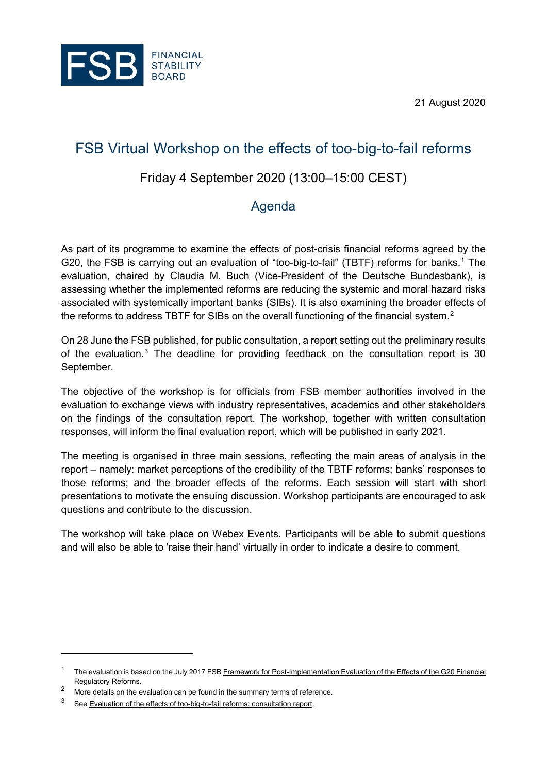21 August 2020



# FSB Virtual Workshop on the effects of too-big-to-fail reforms

## Friday 4 September 2020 (13:00–15:00 CEST)

# Agenda

As part of its programme to examine the effects of post-crisis financial reforms agreed by the G20, the FSB is carrying out an evaluation of "too-big-to-fail" (TBTF) reforms for banks. [1](#page-0-0) The evaluation, chaired by Claudia M. Buch (Vice-President of the Deutsche Bundesbank), is assessing whether the implemented reforms are reducing the systemic and moral hazard risks associated with systemically important banks (SIBs). It is also examining the broader effects of the reforms to address TBTF for SIBs on the overall functioning of the financial system.<sup>[2](#page-0-1)</sup>

On 28 June the FSB published, for public consultation, a report setting out the preliminary results of the evaluation. $3$  The deadline for providing feedback on the consultation report is 30 September.

The objective of the workshop is for officials from FSB member authorities involved in the evaluation to exchange views with industry representatives, academics and other stakeholders on the findings of the consultation report. The workshop, together with written consultation responses, will inform the final evaluation report, which will be published in early 2021.

The meeting is organised in three main sessions, reflecting the main areas of analysis in the report – namely: market perceptions of the credibility of the TBTF reforms; banks' responses to those reforms; and the broader effects of the reforms. Each session will start with short presentations to motivate the ensuing discussion. Workshop participants are encouraged to ask questions and contribute to the discussion.

The workshop will take place on Webex Events. Participants will be able to submit questions and will also be able to 'raise their hand' virtually in order to indicate a desire to comment.

<span id="page-0-0"></span><sup>&</sup>lt;sup>1</sup> The evaluation is based on the July 2017 FSB <u>Framework for Post-Implementation Evaluation of the Effects of the G20 Financial</u> [Regulatory Reforms.](https://www.fsb.org/2017/07/framework-for-post-implementation-evaluation-of-the-effects-of-the-g20-financial-regulatory-reforms/)

<span id="page-0-1"></span>More details on the evaluation can be found in th[e summary terms of reference.](https://www.fsb.org/2019/05/evaluation-of-too-big-to-fail-reforms-summary-terms-of-reference/)

<span id="page-0-2"></span><sup>3</sup> Se[e Evaluation of the effects of too-big-to-fail reforms: consultation report.](https://www.fsb.org/2020/06/evaluation-of-the-effects-of-too-big-to-fail-reforms-consultation-report/)